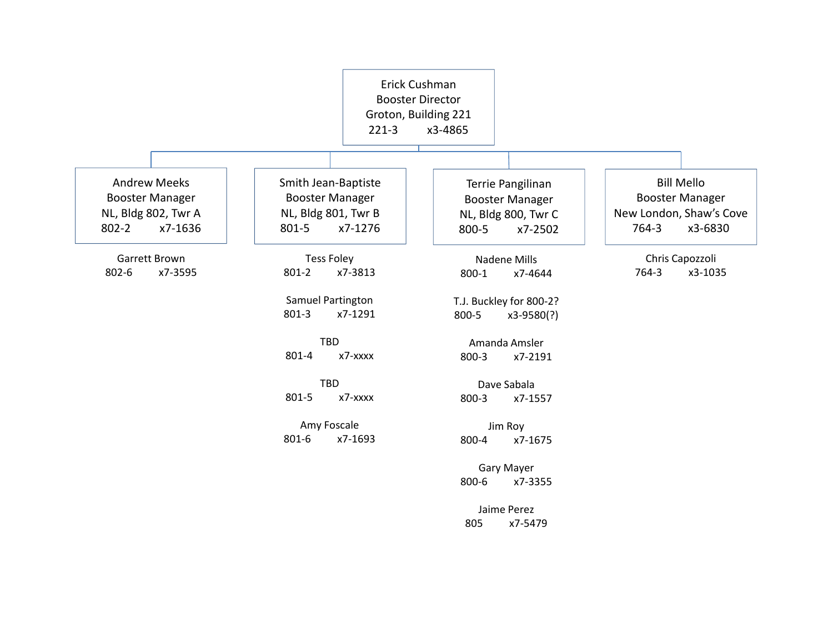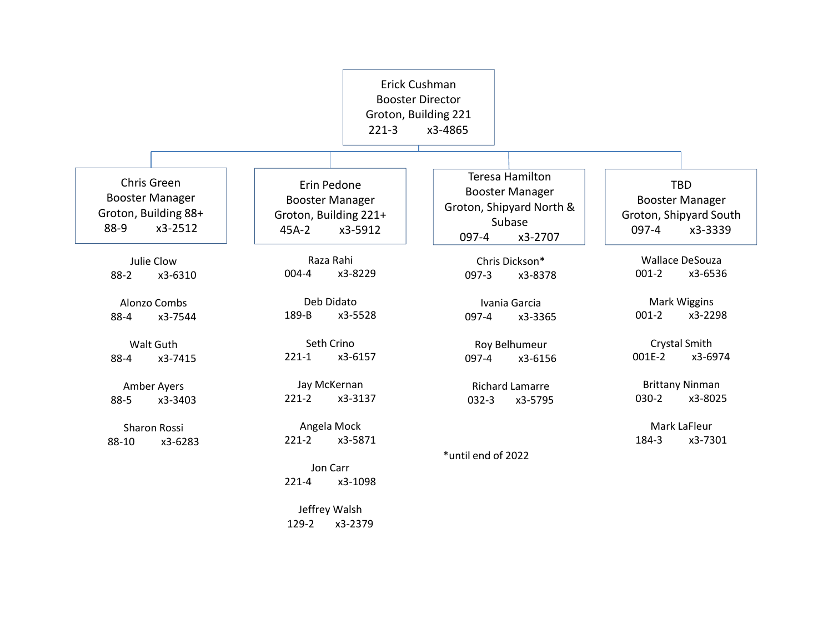